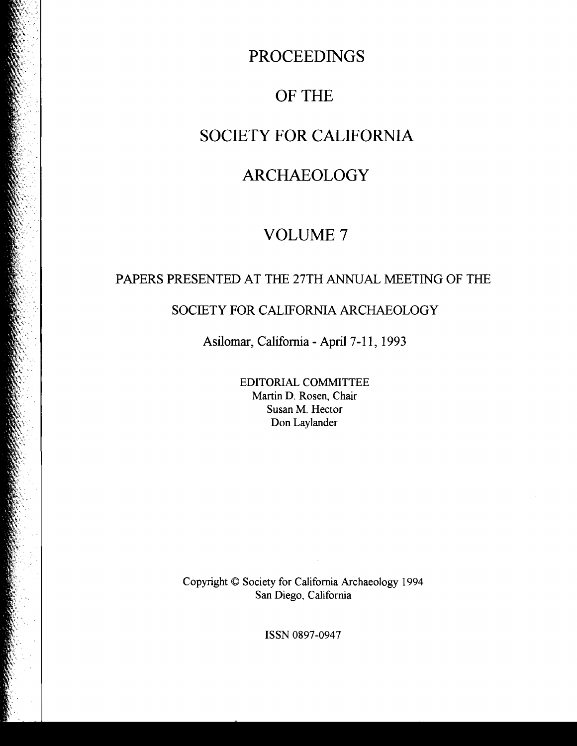## PROCEEDINGS

## OF THE

## SOCIETY FOR CALIFORNIA

# ARCHAEOLOGY

# VOLUME 7

### PAPERS PRESENTED AT THE 27TH ANNUAL MEETING OF THE

### SOCIETY FOR CALIFORNIA ARCHAEOLOGY

Asilomar, California - April 7-11, 1993

EDITORIAL COMMITTEE Martin D. Rosen, Chair Susan M. Hector Don Laylander

Copyright © Society for California Archaeology 1994 San Diego, California

 $\mathcal{L}$ 

ISSN 0897-0947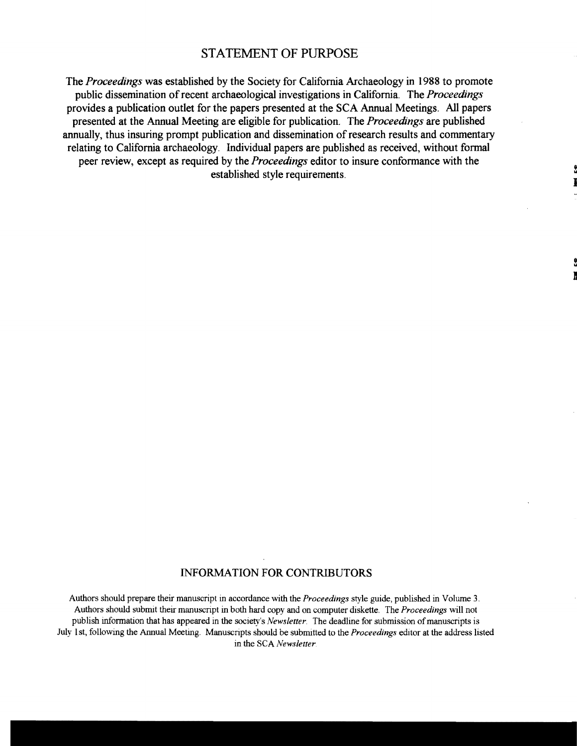#### STATEMENT OF PURPOSE

The *Proceedings* was established by the Society for California Archaeology in 1988 to promote public dissemination ofrecent archaeological investigations in California. The *Proceedings*  provides a publication outlet for the papers presented at the SCA Annual Meetings. All papers presented at the Annual Meeting are eligible for publication. The *Proceedings* are published annually, thus insuring prompt publication and dissemination of research results and commentary relating to California archaeology. Individual papers are published as received, without formal peer review, except as required by the *Proceedings* editor to insure conformance with the established style requirements.

#### INFORMATION FOR CONTRIBUTORS

Authors should prepare their manuscript in accordance with the *Proceedings* style guide, published in Volume 3. Authors should submit their manuscript in both hard copy and on computer diskette. The *Proceedings* will not publish information that has appeared in the society's *Newsletter*. The deadline for submission of manuscripts is July 1 st, following the Annual Meeting. Manuscripts should be submitted to the *Proceedings* editor at the address listed in the SCA Newsletter.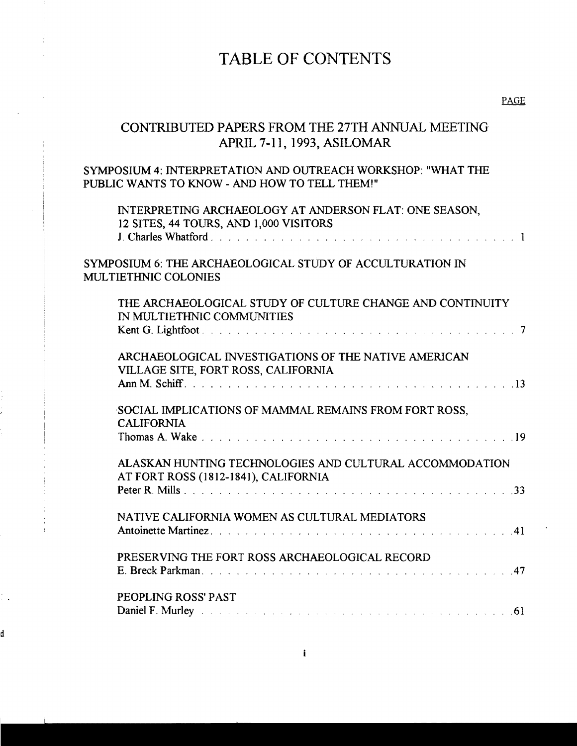## TABLE OF CONTENTS

### CONTRIBUTED PAPERS FROM THE 27TH ANNUAL MEETING APRIL 7-11, 1993, ASILOMAR

#### SYMPOSIUM 4: INTERPRETATION AND OUTREACH WORKSHOP: "WHAT THE PUBLIC WANTS TO KNOW - AND HOW TO TELL THEM!"

| INTERPRETING ARCHAEOLOGY AT ANDERSON FLAT: ONE SEASON,<br>12 SITES, 44 TOURS, AND 1,000 VISITORS |
|--------------------------------------------------------------------------------------------------|
| SYMPOSIUM 6: THE ARCHAEOLOGICAL STUDY OF ACCULTURATION IN<br><b>MULTIETHNIC COLONIES</b>         |
| THE ARCHAEOLOGICAL STUDY OF CULTURE CHANGE AND CONTINUITY<br>IN MULTIETHNIC COMMUNITIES          |
| ARCHAEOLOGICAL INVESTIGATIONS OF THE NATIVE AMERICAN<br>VILLAGE SITE, FORT ROSS, CALIFORNIA      |
| SOCIAL IMPLICATIONS OF MAMMAL REMAINS FROM FORT ROSS,<br><b>CALIFORNIA</b>                       |
| ALASKAN HUNTING TECHNOLOGIES AND CULTURAL ACCOMMODATION<br>AT FORT ROSS (1812-1841), CALIFORNIA  |
| NATIVE CALIFORNIA WOMEN AS CULTURAL MEDIATORS                                                    |
| PRESERVING THE FORT ROSS ARCHAEOLOGICAL RECORD                                                   |
| PEOPLING ROSS' PAST                                                                              |
|                                                                                                  |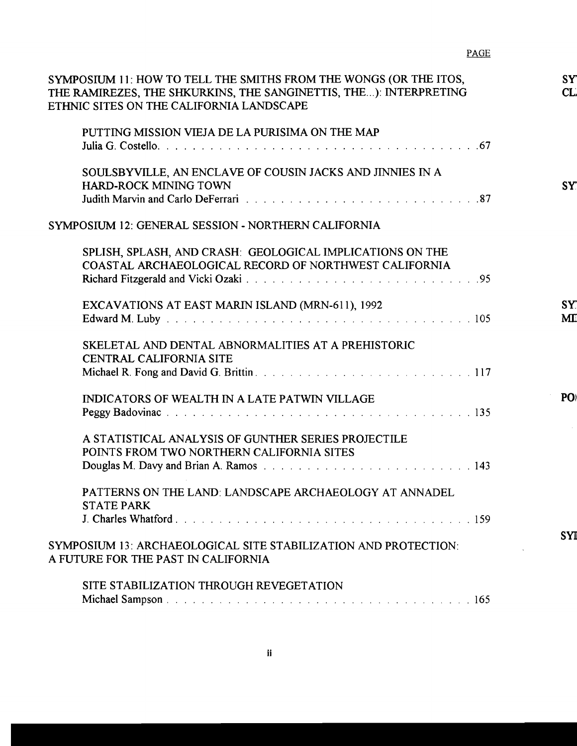| SYMPOSIUM 11: HOW TO TELL THE SMITHS FROM THE WONGS (OR THE ITOS,<br>THE RAMIREZES, THE SHKURKINS, THE SANGINETTIS, THE): INTERPRETING<br>ETHNIC SITES ON THE CALIFORNIA LANDSCAPE                                                                                                 |  |
|------------------------------------------------------------------------------------------------------------------------------------------------------------------------------------------------------------------------------------------------------------------------------------|--|
| PUTTING MISSION VIEJA DE LA PURISIMA ON THE MAP                                                                                                                                                                                                                                    |  |
| SOULSBYVILLE, AN ENCLAVE OF COUSIN JACKS AND JINNIES IN A<br>HARD-ROCK MINING TOWN                                                                                                                                                                                                 |  |
| SYMPOSIUM 12: GENERAL SESSION - NORTHERN CALIFORNIA                                                                                                                                                                                                                                |  |
| SPLISH, SPLASH, AND CRASH: GEOLOGICAL IMPLICATIONS ON THE<br>COASTAL ARCHAEOLOGICAL RECORD OF NORTHWEST CALIFORNIA                                                                                                                                                                 |  |
| EXCAVATIONS AT EAST MARIN ISLAND (MRN-611), 1992<br>Edward M. Luby Theory of the Community of the Community of the Community of the Lucian Community of the Community of the Community of the Community of the Community of the Community of the Community of the Community of the |  |
| SKELETAL AND DENTAL ABNORMALITIES AT A PREHISTORIC<br><b>CENTRAL CALIFORNIA SITE</b>                                                                                                                                                                                               |  |
|                                                                                                                                                                                                                                                                                    |  |
| <b>INDICATORS OF WEALTH IN A LATE PATWIN VILLAGE</b>                                                                                                                                                                                                                               |  |
| A STATISTICAL ANALYSIS OF GUNTHER SERIES PROJECTILE<br>POINTS FROM TWO NORTHERN CALIFORNIA SITES                                                                                                                                                                                   |  |
|                                                                                                                                                                                                                                                                                    |  |
| PATTERNS ON THE LAND: LANDSCAPE ARCHAEOLOGY AT ANNADEL<br><b>STATE PARK</b>                                                                                                                                                                                                        |  |
|                                                                                                                                                                                                                                                                                    |  |
| SYMPOSIUM 13: ARCHAEOLOGICAL SITE STABILIZATION AND PROTECTION:<br>A FUTURE FOR THE PAST IN CALIFORNIA                                                                                                                                                                             |  |
| SITE STABILIZATION THROUGH REVEGETATION                                                                                                                                                                                                                                            |  |